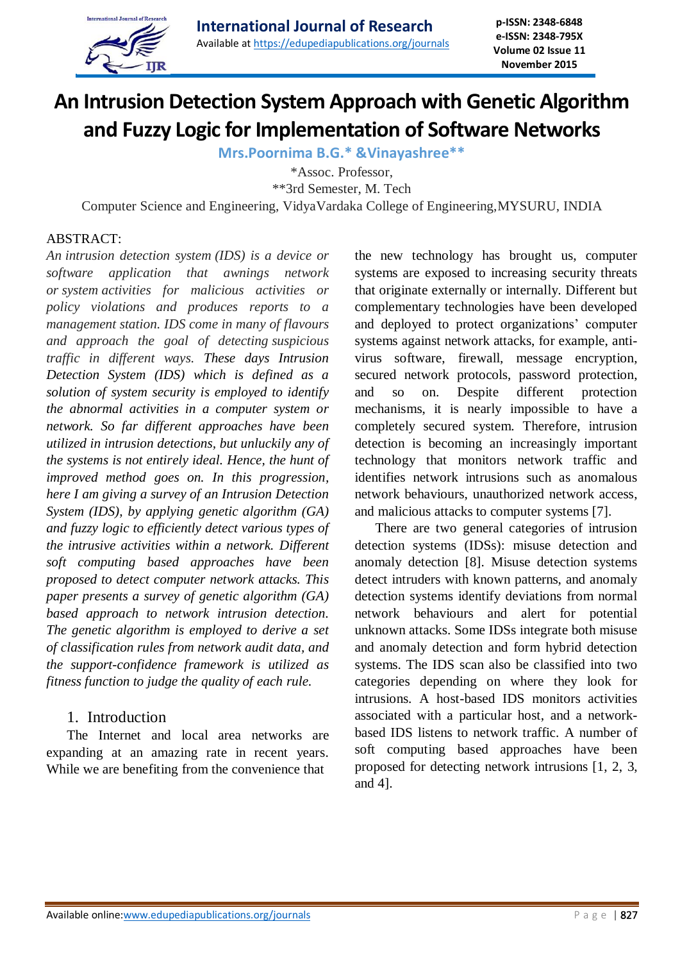

# **An Intrusion Detection System Approach with Genetic Algorithm and Fuzzy Logic for Implementation of Software Networks**

**Mrs.Poornima B.G.\* &Vinayashree\*\***

\*Assoc. Professor,

\*\*3rd Semester, M. Tech

Computer Science and Engineering, VidyaVardaka College of Engineering,MYSURU, INDIA

### ABSTRACT:

*An intrusion detection system (IDS) is a device or software application that awnings network or system activities for malicious activities or policy violations and produces reports to a management station. IDS come in many of flavours and approach the goal of detecting suspicious traffic in different ways. These days Intrusion Detection System (IDS) which is defined as a solution of system security is employed to identify the abnormal activities in a computer system or network. So far different approaches have been utilized in intrusion detections, but unluckily any of the systems is not entirely ideal. Hence, the hunt of improved method goes on. In this progression, here I am giving a survey of an Intrusion Detection System (IDS), by applying genetic algorithm (GA) and fuzzy logic to efficiently detect various types of the intrusive activities within a network. Different soft computing based approaches have been proposed to detect computer network attacks. This paper presents a survey of genetic algorithm (GA) based approach to network intrusion detection. The genetic algorithm is employed to derive a set of classification rules from network audit data, and the support-confidence framework is utilized as fitness function to judge the quality of each rule.* 

## 1. Introduction

The Internet and local area networks are expanding at an amazing rate in recent years. While we are benefiting from the convenience that

the new technology has brought us, computer systems are exposed to increasing security threats that originate externally or internally. Different but complementary technologies have been developed and deployed to protect organizations' computer systems against network attacks, for example, antivirus software, firewall, message encryption, secured network protocols, password protection, and so on. Despite different protection mechanisms, it is nearly impossible to have a completely secured system. Therefore, intrusion detection is becoming an increasingly important technology that monitors network traffic and identifies network intrusions such as anomalous network behaviours, unauthorized network access, and malicious attacks to computer systems [7].

There are two general categories of intrusion detection systems (IDSs): misuse detection and anomaly detection [8]. Misuse detection systems detect intruders with known patterns, and anomaly detection systems identify deviations from normal network behaviours and alert for potential unknown attacks. Some IDSs integrate both misuse and anomaly detection and form hybrid detection systems. The IDS scan also be classified into two categories depending on where they look for intrusions. A host-based IDS monitors activities associated with a particular host, and a networkbased IDS listens to network traffic. A number of soft computing based approaches have been proposed for detecting network intrusions [1, 2, 3, and 4].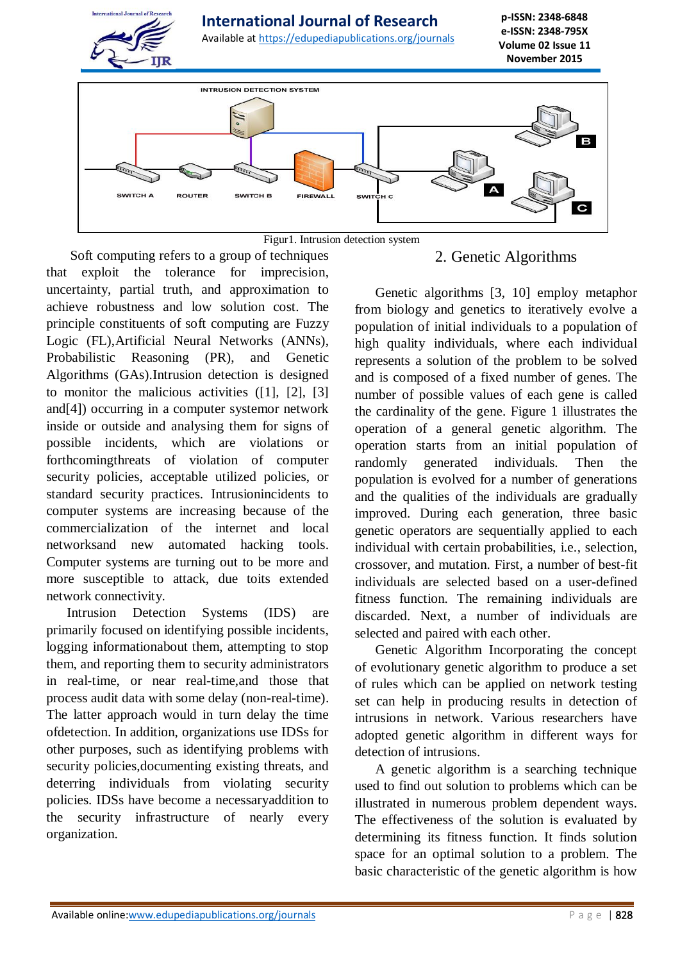

Soft computing refers to a group of techniques that exploit the tolerance for imprecision, uncertainty, partial truth, and approximation to achieve robustness and low solution cost. The principle constituents of soft computing are Fuzzy Logic (FL),Artificial Neural Networks (ANNs), Probabilistic Reasoning (PR), and Genetic Algorithms (GAs).Intrusion detection is designed to monitor the malicious activities ([1], [2], [3] and[4]) occurring in a computer systemor network inside or outside and analysing them for signs of possible incidents, which are violations or forthcomingthreats of violation of computer security policies, acceptable utilized policies, or standard security practices. Intrusionincidents to computer systems are increasing because of the commercialization of the internet and local networksand new automated hacking tools. Computer systems are turning out to be more and more susceptible to attack, due toits extended network connectivity.

Intrusion Detection Systems (IDS) are primarily focused on identifying possible incidents, logging informationabout them, attempting to stop them, and reporting them to security administrators in real-time, or near real-time,and those that process audit data with some delay (non-real-time). The latter approach would in turn delay the time ofdetection. In addition, organizations use IDSs for other purposes, such as identifying problems with security policies,documenting existing threats, and deterring individuals from violating security policies. IDSs have become a necessaryaddition to the security infrastructure of nearly every organization.

## 2. Genetic Algorithms

Genetic algorithms [3, 10] employ metaphor from biology and genetics to iteratively evolve a population of initial individuals to a population of high quality individuals, where each individual represents a solution of the problem to be solved and is composed of a fixed number of genes. The number of possible values of each gene is called the cardinality of the gene. Figure 1 illustrates the operation of a general genetic algorithm. The operation starts from an initial population of randomly generated individuals. Then the population is evolved for a number of generations and the qualities of the individuals are gradually improved. During each generation, three basic genetic operators are sequentially applied to each individual with certain probabilities, i.e., selection, crossover, and mutation. First, a number of best-fit individuals are selected based on a user-defined fitness function. The remaining individuals are discarded. Next, a number of individuals are selected and paired with each other.

Genetic Algorithm Incorporating the concept of evolutionary genetic algorithm to produce a set of rules which can be applied on network testing set can help in producing results in detection of intrusions in network. Various researchers have adopted genetic algorithm in different ways for detection of intrusions.

A genetic algorithm is a searching technique used to find out solution to problems which can be illustrated in numerous problem dependent ways. The effectiveness of the solution is evaluated by determining its fitness function. It finds solution space for an optimal solution to a problem. The basic characteristic of the genetic algorithm is how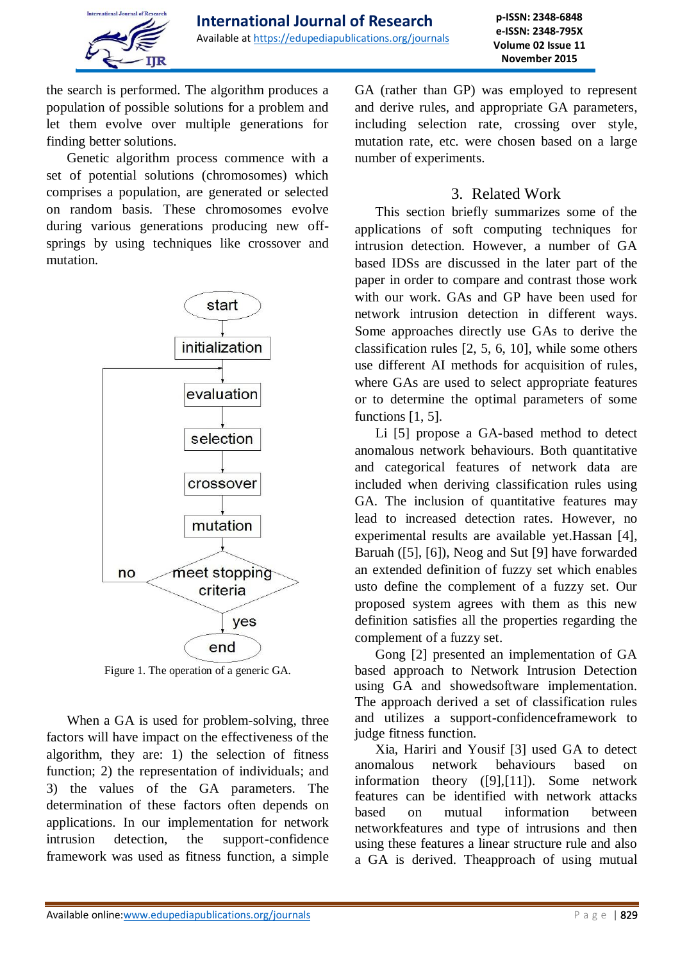

the search is performed. The algorithm produces a population of possible solutions for a problem and let them evolve over multiple generations for finding better solutions.

Genetic algorithm process commence with a set of potential solutions (chromosomes) which comprises a population, are generated or selected on random basis. These chromosomes evolve during various generations producing new offsprings by using techniques like crossover and mutation.



Figure 1. The operation of a generic GA.

When a GA is used for problem-solving, three factors will have impact on the effectiveness of the algorithm, they are: 1) the selection of fitness function; 2) the representation of individuals; and 3) the values of the GA parameters. The determination of these factors often depends on applications. In our implementation for network intrusion detection, the support-confidence framework was used as fitness function, a simple

GA (rather than GP) was employed to represent and derive rules, and appropriate GA parameters, including selection rate, crossing over style, mutation rate, etc. were chosen based on a large number of experiments.

## 3. Related Work

This section briefly summarizes some of the applications of soft computing techniques for intrusion detection. However, a number of GA based IDSs are discussed in the later part of the paper in order to compare and contrast those work with our work. GAs and GP have been used for network intrusion detection in different ways. Some approaches directly use GAs to derive the classification rules [2, 5, 6, 10], while some others use different AI methods for acquisition of rules, where GAs are used to select appropriate features or to determine the optimal parameters of some functions [1, 5].

Li [5] propose a GA-based method to detect anomalous network behaviours. Both quantitative and categorical features of network data are included when deriving classification rules using GA. The inclusion of quantitative features may lead to increased detection rates. However, no experimental results are available yet.Hassan [4], Baruah ([5], [6]), Neog and Sut [9] have forwarded an extended definition of fuzzy set which enables usto define the complement of a fuzzy set. Our proposed system agrees with them as this new definition satisfies all the properties regarding the complement of a fuzzy set.

Gong [2] presented an implementation of GA based approach to Network Intrusion Detection using GA and showedsoftware implementation. The approach derived a set of classification rules and utilizes a support-confidenceframework to judge fitness function.

Xia, Hariri and Yousif [3] used GA to detect anomalous network behaviours based on information theory ([9],[11]). Some network features can be identified with network attacks based on mutual information between networkfeatures and type of intrusions and then using these features a linear structure rule and also a GA is derived. Theapproach of using mutual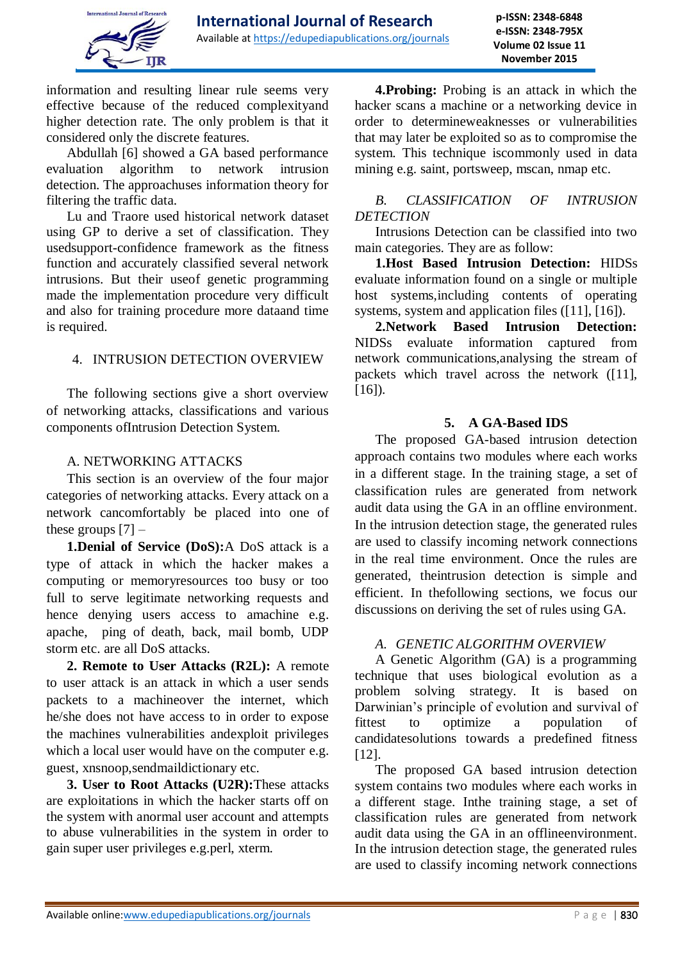information and resulting linear rule seems very effective because of the reduced complexityand higher detection rate. The only problem is that it considered only the discrete features.

Abdullah [6] showed a GA based performance evaluation algorithm to network intrusion detection. The approachuses information theory for filtering the traffic data.

Lu and Traore used historical network dataset using GP to derive a set of classification. They usedsupport-confidence framework as the fitness function and accurately classified several network intrusions. But their useof genetic programming made the implementation procedure very difficult and also for training procedure more dataand time is required.

## 4. INTRUSION DETECTION OVERVIEW

The following sections give a short overview of networking attacks, classifications and various components ofIntrusion Detection System.

## A. NETWORKING ATTACKS

This section is an overview of the four major categories of networking attacks. Every attack on a network cancomfortably be placed into one of these groups  $[7]$  –

**1.Denial of Service (DoS):**A DoS attack is a type of attack in which the hacker makes a computing or memoryresources too busy or too full to serve legitimate networking requests and hence denying users access to amachine e.g. apache, ping of death, back, mail bomb, UDP storm etc. are all DoS attacks.

**2. Remote to User Attacks (R2L):** A remote to user attack is an attack in which a user sends packets to a machineover the internet, which he/she does not have access to in order to expose the machines vulnerabilities andexploit privileges which a local user would have on the computer e.g. guest, xnsnoop,sendmaildictionary etc.

**3. User to Root Attacks (U2R):**These attacks are exploitations in which the hacker starts off on the system with anormal user account and attempts to abuse vulnerabilities in the system in order to gain super user privileges e.g.perl, xterm.

**4.Probing:** Probing is an attack in which the hacker scans a machine or a networking device in order to determineweaknesses or vulnerabilities that may later be exploited so as to compromise the system. This technique iscommonly used in data mining e.g. saint, portsweep, mscan, nmap etc.

## *B. CLASSIFICATION OF INTRUSION DETECTION*

Intrusions Detection can be classified into two main categories. They are as follow:

**1.Host Based Intrusion Detection:** HIDSs evaluate information found on a single or multiple host systems,including contents of operating systems, system and application files ([11], [16]).

**2.Network Based Intrusion Detection:**  NIDSs evaluate information captured from network communications,analysing the stream of packets which travel across the network ([11],  $[16]$ ).

## **5. A GA-Based IDS**

The proposed GA-based intrusion detection approach contains two modules where each works in a different stage. In the training stage, a set of classification rules are generated from network audit data using the GA in an offline environment. In the intrusion detection stage, the generated rules are used to classify incoming network connections in the real time environment. Once the rules are generated, theintrusion detection is simple and efficient. In thefollowing sections, we focus our discussions on deriving the set of rules using GA.

#### *A. GENETIC ALGORITHM OVERVIEW*

A Genetic Algorithm (GA) is a programming technique that uses biological evolution as a problem solving strategy. It is based on Darwinian's principle of evolution and survival of fittest to optimize a population of candidatesolutions towards a predefined fitness [12].

The proposed GA based intrusion detection system contains two modules where each works in a different stage. Inthe training stage, a set of classification rules are generated from network audit data using the GA in an offlineenvironment. In the intrusion detection stage, the generated rules are used to classify incoming network connections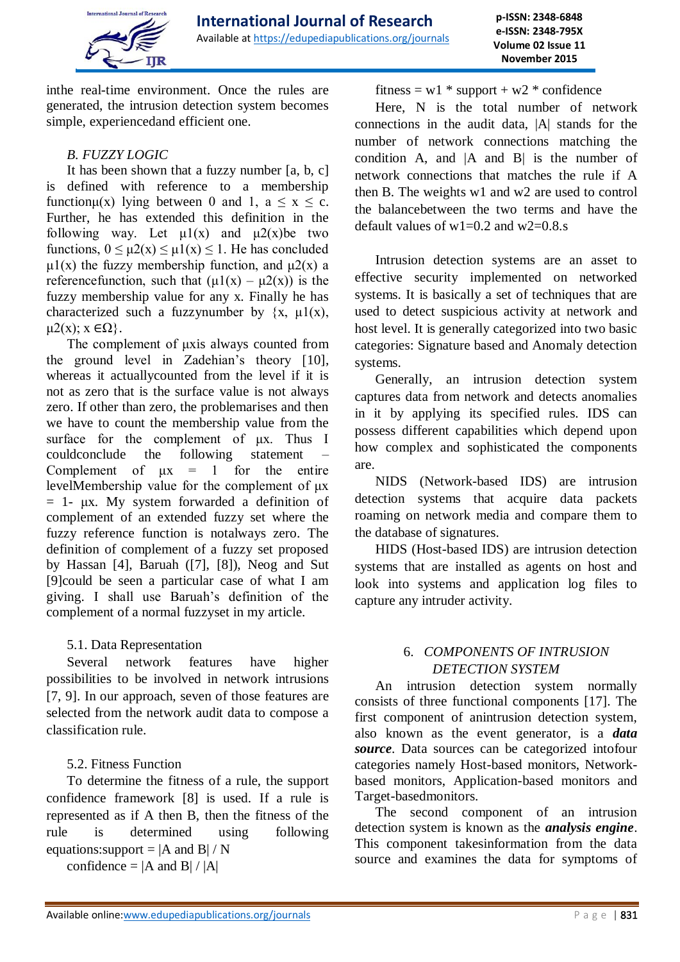

**p-ISSN: 2348-6848 e-ISSN: 2348-795X Volume 02 Issue 11 November 2015**

inthe real-time environment. Once the rules are generated, the intrusion detection system becomes simple, experiencedand efficient one.

### *B. FUZZY LOGIC*

It has been shown that a fuzzy number [a, b, c] is defined with reference to a membership function $\mu(x)$  lying between 0 and 1,  $a \le x \le c$ . Further, he has extended this definition in the following way. Let  $\mu$ 1(x) and  $\mu$ 2(x)be two functions,  $0 \le \mu 2(x) \le \mu 1(x) \le 1$ . He has concluded  $\mu$ 1(x) the fuzzy membership function, and  $\mu$ 2(x) a reference function, such that  $(\mu 1(x) - \mu 2(x))$  is the fuzzy membership value for any x. Finally he has characterized such a fuzzynumber by  $\{x, \mu1(x)\}$ ,  $μ2(x): x ∈ Ω$ .

The complement of μxis always counted from the ground level in Zadehian's theory [10], whereas it actuallycounted from the level if it is not as zero that is the surface value is not always zero. If other than zero, the problemarises and then we have to count the membership value from the surface for the complement of μx. Thus I couldconclude the following statement Complement of  $\mu x = 1$  for the entire levelMembership value for the complement of μx  $= 1$ - μx. My system forwarded a definition of complement of an extended fuzzy set where the fuzzy reference function is notalways zero. The definition of complement of a fuzzy set proposed by Hassan [4], Baruah ([7], [8]), Neog and Sut [9]could be seen a particular case of what I am giving. I shall use Baruah's definition of the complement of a normal fuzzyset in my article.

## 5.1. Data Representation

Several network features have higher possibilities to be involved in network intrusions [7, 9]. In our approach, seven of those features are selected from the network audit data to compose a classification rule.

## 5.2. Fitness Function

To determine the fitness of a rule, the support confidence framework [8] is used. If a rule is represented as if A then B, then the fitness of the rule is determined using following equations: support =  $|A \text{ and } B| / N$ 

confidence  $= |A \text{ and } B| / |A|$ 

fitness =  $w1 * support + w2 * confidence$ 

Here, N is the total number of network connections in the audit data, |A| stands for the number of network connections matching the condition A, and |A and B| is the number of network connections that matches the rule if A then B. The weights w1 and w2 are used to control the balancebetween the two terms and have the default values of  $w1=0.2$  and  $w2=0.8$  s.

Intrusion detection systems are an asset to effective security implemented on networked systems. It is basically a set of techniques that are used to detect suspicious activity at network and host level. It is generally categorized into two basic categories: Signature based and Anomaly detection systems.

Generally, an intrusion detection system captures data from network and detects anomalies in it by applying its specified rules. IDS can possess different capabilities which depend upon how complex and sophisticated the components are.

NIDS (Network-based IDS) are intrusion detection systems that acquire data packets roaming on network media and compare them to the database of signatures.

HIDS (Host-based IDS) are intrusion detection systems that are installed as agents on host and look into systems and application log files to capture any intruder activity.

## 6. *COMPONENTS OF INTRUSION DETECTION SYSTEM*

An intrusion detection system normally consists of three functional components [17]. The first component of anintrusion detection system, also known as the event generator, is a *data source*. Data sources can be categorized intofour categories namely Host-based monitors, Networkbased monitors, Application-based monitors and Target-basedmonitors.

The second component of an intrusion detection system is known as the *analysis engine*. This component takesinformation from the data source and examines the data for symptoms of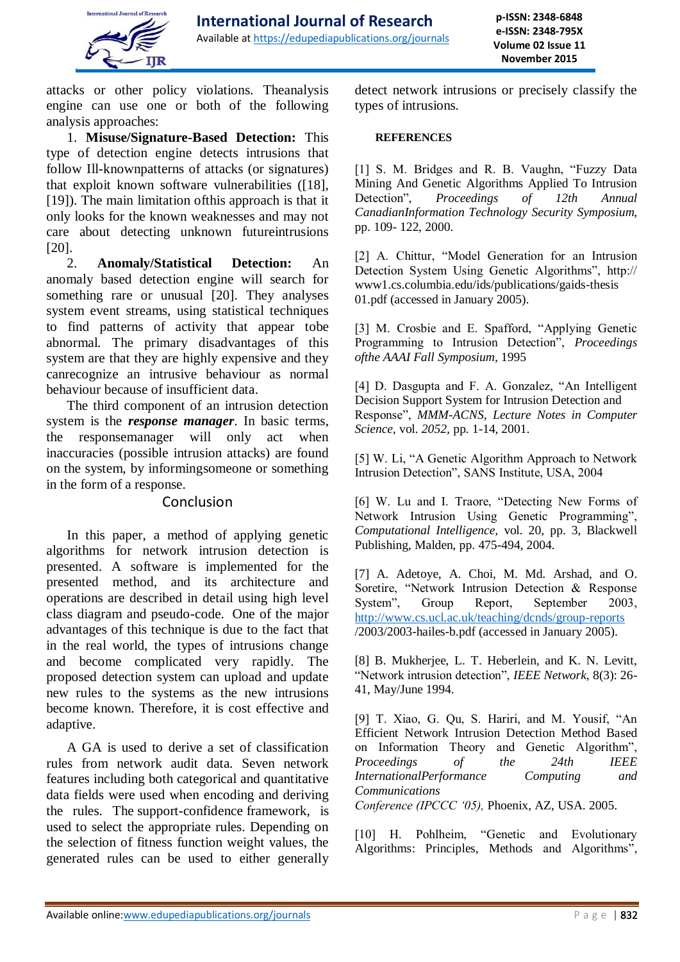

attacks or other policy violations. Theanalysis engine can use one or both of the following analysis approaches:

1. **Misuse/Signature-Based Detection:** This type of detection engine detects intrusions that follow Ill-knownpatterns of attacks (or signatures) that exploit known software vulnerabilities ([18], [19]). The main limitation ofthis approach is that it only looks for the known weaknesses and may not care about detecting unknown futureintrusions [20].

2. **Anomaly/Statistical Detection:** An anomaly based detection engine will search for something rare or unusual [20]. They analyses system event streams, using statistical techniques to find patterns of activity that appear tobe abnormal. The primary disadvantages of this system are that they are highly expensive and they canrecognize an intrusive behaviour as normal behaviour because of insufficient data.

The third component of an intrusion detection system is the *response manager*. In basic terms, the responsemanager will only act when inaccuracies (possible intrusion attacks) are found on the system, by informingsomeone or something in the form of a response.

#### Conclusion

In this paper, a method of applying genetic algorithms for network intrusion detection is presented. A software is implemented for the presented method, and its architecture and operations are described in detail using high level class diagram and pseudo-code. One of the major advantages of this technique is due to the fact that in the real world, the types of intrusions change and become complicated very rapidly. The proposed detection system can upload and update new rules to the systems as the new intrusions become known. Therefore, it is cost effective and adaptive.

A GA is used to derive a set of classification rules from network audit data. Seven network features including both categorical and quantitative data fields were used when encoding and deriving the rules. The support-confidence framework, is used to select the appropriate rules. Depending on the selection of fitness function weight values, the generated rules can be used to either generally detect network intrusions or precisely classify the types of intrusions.

#### **REFERENCES**

[1] S. M. Bridges and R. B. Vaughn, "Fuzzy Data Mining And Genetic Algorithms Applied To Intrusion Detection", *Proceedings of 12th Annual CanadianInformation Technology Security Symposium,*  pp. 109- 122, 2000.

[2] A. Chittur, "Model Generation for an Intrusion Detection System Using Genetic Algorithms", http:// www1.cs.columbia.edu/ids/publications/gaids-thesis 01.pdf (accessed in January 2005).

[3] M. Crosbie and E. Spafford, "Applying Genetic Programming to Intrusion Detection", *Proceedings ofthe AAAI Fall Symposium,* 1995

[4] D. Dasgupta and F. A. Gonzalez, "An Intelligent Decision Support System for Intrusion Detection and Response", *MMM-ACNS, Lecture Notes in Computer Science*, vol. *2052,* pp. 1-14, 2001.

[5] W. Li, "A Genetic Algorithm Approach to Network Intrusion Detection", SANS Institute, USA, 2004

[6] W. Lu and I. Traore, "Detecting New Forms of Network Intrusion Using Genetic Programming", *Computational Intelligence,* vol. 20, pp. 3, Blackwell Publishing, Malden, pp. 475-494, 2004.

[7] A. Adetoye, A. Choi, M. Md. Arshad, and O. Soretire, "Network Intrusion Detection & Response System", Group Report, September 2003, <http://www.cs.ucl.ac.uk/teaching/dcnds/group-reports> /2003/2003-hailes-b.pdf (accessed in January 2005).

[8] B. Mukherjee, L. T. Heberlein, and K. N. Levitt, "Network intrusion detection", *IEEE Network*, 8(3): 26- 41, May/June 1994.

[9] T. Xiao, G. Qu, S. Hariri, and M. Yousif, "An Efficient Network Intrusion Detection Method Based on Information Theory and Genetic Algorithm", *Proceedings of the 24th IEEE InternationalPerformance Computing and Communications*

*Conference (IPCCC '05),* Phoenix, AZ, USA. 2005.

[10] H. Pohlheim, "Genetic and Evolutionary Algorithms: Principles, Methods and Algorithms",